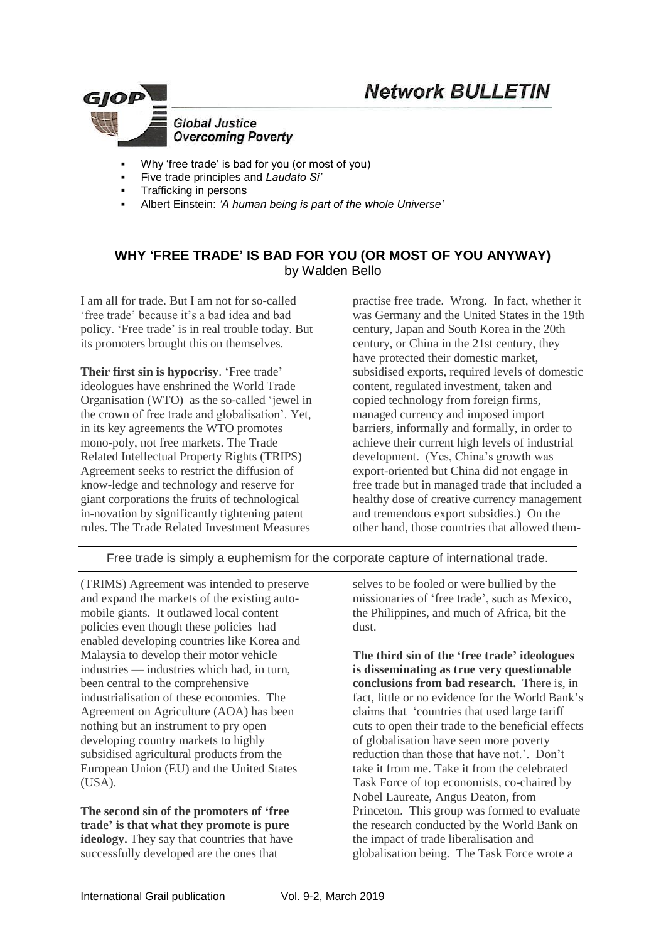



- Why 'free trade' is bad for you (or most of you)
- Five trade principles and *Laudato Si'*
- Trafficking in persons
- Albert Einstein: *'A human being is part of the whole Universe'*

### **WHY 'FREE TRADE' IS BAD FOR YOU (OR MOST OF YOU ANYWAY)** by Walden Bello

I am all for trade. But I am not for so-called 'free trade' because it's a bad idea and bad policy. 'Free trade' is in real trouble today. But its promoters brought this on themselves.

**Their first sin is hypocrisy**. 'Free trade' ideologues have enshrined the World Trade Organisation (WTO) as the so-called 'jewel in the crown of free trade and globalisation'. Yet, in its key agreements the WTO promotes mono-poly, not free markets. The Trade Related Intellectual Property Rights (TRIPS) Agreement seeks to restrict the diffusion of know-ledge and technology and reserve for giant corporations the fruits of technological in-novation by significantly tightening patent rules. The Trade Related Investment Measures

practise free trade. Wrong. In fact, whether it was Germany and the United States in the 19th century, Japan and South Korea in the 20th century, or China in the 21st century, they have protected their domestic market, subsidised exports, required levels of domestic content, regulated investment, taken and copied technology from foreign firms, managed currency and imposed import barriers, informally and formally, in order to achieve their current high levels of industrial development. (Yes, China's growth was export-oriented but China did not engage in free trade but in managed trade that included a healthy dose of creative currency management and tremendous export subsidies.) On the other hand, those countries that allowed them-

Free trade is simply a euphemism for the corporate capture of international trade.

(TRIMS) Agreement was intended to preserve and expand the markets of the existing automobile giants. It outlawed local content policies even though these policies had enabled developing countries like Korea and Malaysia to develop their motor vehicle industries — industries which had, in turn, been central to the comprehensive industrialisation of these economies. The Agreement on Agriculture (AOA) has been nothing but an instrument to pry open developing country markets to highly subsidised agricultural products from the European Union (EU) and the United States (USA).

**The second sin of the promoters of 'free trade' is that what they promote is pure**  ideology. They say that countries that have successfully developed are the ones that

selves to be fooled or were bullied by the missionaries of 'free trade', such as Mexico, the Philippines, and much of Africa, bit the dust.

**The third sin of the 'free trade' ideologues is disseminating as true very questionable conclusions from bad research.** There is, in fact, little or no evidence for the World Bank's claims that 'countries that used large tariff cuts to open their trade to the beneficial effects of globalisation have seen more poverty reduction than those that have not.'. Don't take it from me. Take it from the celebrated Task Force of top economists, co-chaired by Nobel Laureate, Angus Deaton, from Princeton. This group was formed to evaluate the research conducted by the World Bank on the impact of trade liberalisation and globalisation being. The Task Force wrote a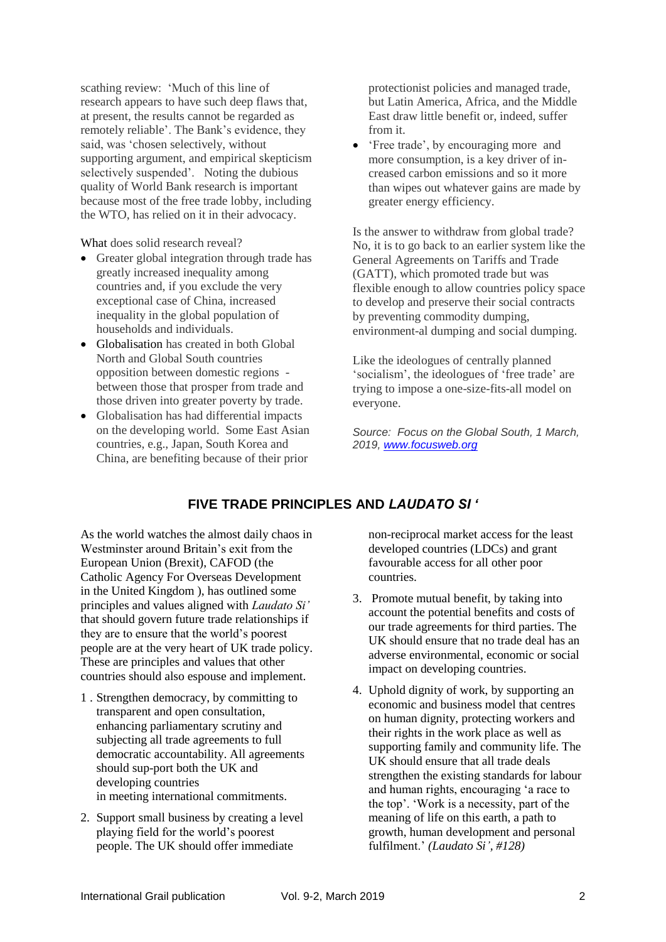scathing review: 'Much of this line of research appears to have such deep flaws that, at present, the results cannot be regarded as remotely reliable'. The Bank's evidence, they said, was 'chosen selectively, without supporting argument, and empirical skepticism selectively suspended'. Noting the dubious quality of World Bank research is important because most of the free trade lobby, including the WTO, has relied on it in their advocacy.

What does solid research reveal?

- Greater global integration through trade has greatly increased inequality among countries and, if you exclude the very exceptional case of China, increased inequality in the global population of households and individuals.
- Globalisation has created in both Global North and Global South countries opposition between domestic regions between those that prosper from trade and those driven into greater poverty by trade.
- Globalisation has had differential impacts on the developing world. Some East Asian countries, e.g., Japan, South Korea and China, are benefiting because of their prior

protectionist policies and managed trade, but Latin America, Africa, and the Middle East draw little benefit or, indeed, suffer from it.

• 'Free trade', by encouraging more and more consumption, is a key driver of increased carbon emissions and so it more than wipes out whatever gains are made by greater energy efficiency.

Is the answer to withdraw from global trade? No, it is to go back to an earlier system like the General Agreements on Tariffs and Trade (GATT), which promoted trade but was flexible enough to allow countries policy space to develop and preserve their social contracts by preventing commodity dumping, environment-al dumping and social dumping.

Like the ideologues of centrally planned 'socialism', the ideologues of 'free trade' are trying to impose a one-size-fits-all model on everyone.

*Source: Focus on the Global South, 1 March, 2019, [www.focusweb.org](http://www.focusweb.org/)*

# **FIVE TRADE PRINCIPLES AND** *LAUDATO SI '*

As the world watches the almost daily chaos in Westminster around Britain's exit from the European Union (Brexit), CAFOD (the Catholic Agency For Overseas Development in the United Kingdom ), has outlined some principles and values aligned with *Laudato Si'* that should govern future trade relationships if they are to ensure that the world's poorest people are at the very heart of UK trade policy. These are principles and values that other countries should also espouse and implement.

- 1 . Strengthen democracy, by committing to transparent and open consultation, enhancing parliamentary scrutiny and subjecting all trade agreements to full democratic accountability. All agreements should sup-port both the UK and developing countries in meeting international commitments.
- 2. Support small business by creating a level playing field for the world's poorest people. The UK should offer immediate

non-reciprocal market access for the least developed countries (LDCs) and grant favourable access for all other poor countries.

- 3. Promote mutual benefit, by taking into account the potential benefits and costs of our trade agreements for third parties. The UK should ensure that no trade deal has an adverse environmental, economic or social impact on developing countries.
- 4. Uphold dignity of work, by supporting an economic and business model that centres on human dignity, protecting workers and their rights in the work place as well as supporting family and community life. The UK should ensure that all trade deals strengthen the existing standards for labour and human rights, encouraging 'a race to the top'. 'Work is a necessity, part of the meaning of life on this earth, a path to growth, human development and personal fulfilment.' *(Laudato Si', #128)*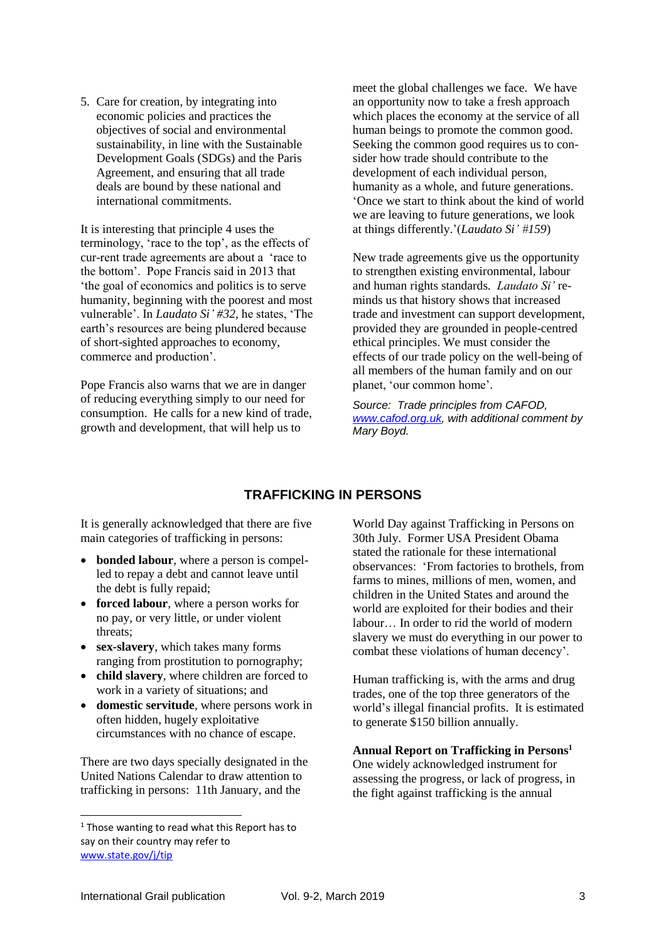5. Care for creation, by integrating into economic policies and practices the objectives of social and environmental sustainability, in line with the Sustainable Development Goals (SDGs) and the Paris Agreement, and ensuring that all trade deals are bound by these national and international commitments.

It is interesting that principle 4 uses the terminology, 'race to the top', as the effects of cur-rent trade agreements are about a 'race to the bottom'. Pope Francis said in 2013 that 'the goal of economics and politics is to serve humanity, beginning with the poorest and most vulnerable'. In *Laudato Si' #32,* he states, 'The earth's resources are being plundered because of short-sighted approaches to economy, commerce and production'.

Pope Francis also warns that we are in danger of reducing everything simply to our need for consumption. He calls for a new kind of trade, growth and development, that will help us to

meet the global challenges we face. We have an opportunity now to take a fresh approach which places the economy at the service of all human beings to promote the common good. Seeking the common good requires us to consider how trade should contribute to the development of each individual person, humanity as a whole, and future generations. 'Once we start to think about the kind of world we are leaving to future generations, we look at things differently.'(*Laudato Si' #159*)

New trade agreements give us the opportunity to strengthen existing environmental, labour and human rights standards. *Laudato Si'* reminds us that history shows that increased trade and investment can support development, provided they are grounded in people-centred ethical principles. We must consider the effects of our trade policy on the well-being of all members of the human family and on our planet, 'our common home'*.*

*Source: Trade principles from CAFOD, [www.cafod.org.uk,](http://www.cafod.org.uk/) with additional comment by Mary Boyd.*

## **TRAFFICKING IN PERSONS**

It is generally acknowledged that there are five main categories of trafficking in persons:

- **bonded labour**, where a person is compelled to repay a debt and cannot leave until the debt is fully repaid;
- **forced labour**, where a person works for no pay, or very little, or under violent threats;
- **sex-slavery**, which takes many forms ranging from prostitution to pornography;
- **child slavery**, where children are forced to work in a variety of situations; and
- **domestic servitude**, where persons work in often hidden, hugely exploitative circumstances with no chance of escape.

There are two days specially designated in the United Nations Calendar to draw attention to trafficking in persons: 11th January, and the

World Day against Trafficking in Persons on 30th July. Former USA President Obama stated the rationale for these international observances: 'From factories to brothels, from farms to mines, millions of men, women, and children in the United States and around the world are exploited for their bodies and their labour… In order to rid the world of modern slavery we must do everything in our power to combat these violations of human decency'.

Human trafficking is, with the arms and drug trades, one of the top three generators of the world's illegal financial profits. It is estimated to generate \$150 billion annually.

#### **Annual Report on Trafficking in Persons<sup>1</sup>**

One widely acknowledged instrument for assessing the progress, or lack of progress, in the fight against trafficking is the annual

-

<sup>&</sup>lt;sup>1</sup> Those wanting to read what this Report has to say on their country may refer to [www.state.gov/j/tip](http://www.state.gov/j/tip)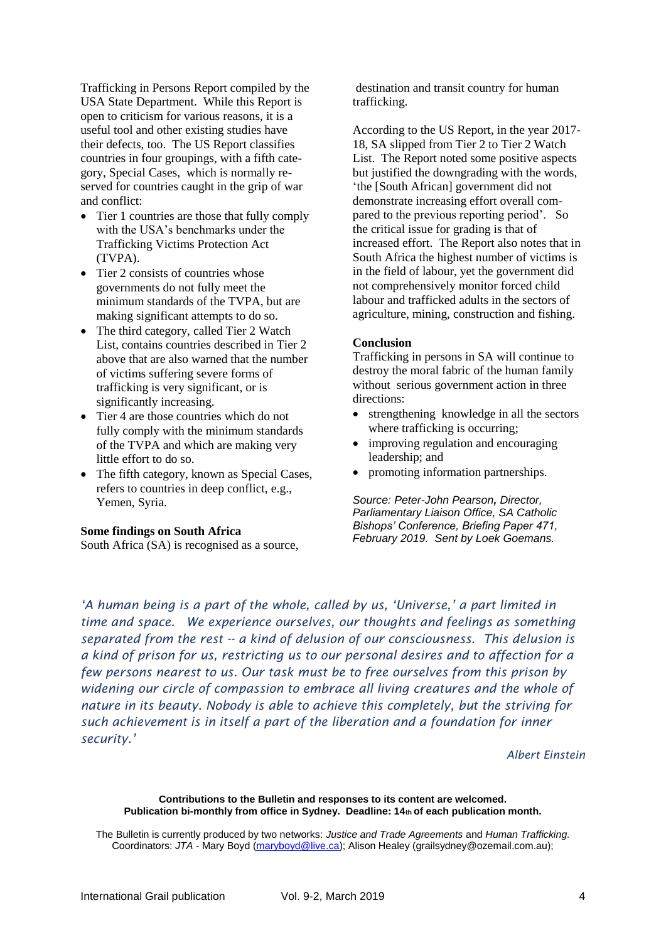Trafficking in Persons Report compiled by the USA State Department. While this Report is open to criticism for various reasons, it is a useful tool and other existing studies have their defects, too. The US Report classifies countries in four groupings, with a fifth category, Special Cases, which is normally reserved for countries caught in the grip of war and conflict:

- Tier 1 countries are those that fully comply with the USA's benchmarks under the Trafficking Victims Protection Act (TVPA).
- Tier 2 consists of countries whose governments do not fully meet the minimum standards of the TVPA, but are making significant attempts to do so.
- The third category, called Tier 2 Watch List, contains countries described in Tier 2 above that are also warned that the number of victims suffering severe forms of trafficking is very significant, or is significantly increasing.
- Tier 4 are those countries which do not fully comply with the minimum standards of the TVPA and which are making very little effort to do so.
- The fifth category, known as Special Cases, refers to countries in deep conflict, e.g., Yemen, Syria.

#### **Some findings on South Africa**

South Africa (SA) is recognised as a source,

destination and transit country for human trafficking.

According to the US Report, in the year 2017- 18, SA slipped from Tier 2 to Tier 2 Watch List. The Report noted some positive aspects but justified the downgrading with the words, 'the [South African] government did not demonstrate increasing effort overall compared to the previous reporting period'. So the critical issue for grading is that of increased effort. The Report also notes that in South Africa the highest number of victims is in the field of labour, yet the government did not comprehensively monitor forced child labour and trafficked adults in the sectors of agriculture, mining, construction and fishing.

#### **Conclusion**

Trafficking in persons in SA will continue to destroy the moral fabric of the human family without serious government action in three directions:

- strengthening knowledge in all the sectors where trafficking is occurring;
- improving regulation and encouraging leadership; and
- promoting information partnerships.

*Source: Peter-John Pearson, Director, Parliamentary Liaison Office, SA Catholic Bishops' Conference, Briefing Paper 471, February 2019. Sent by Loek Goemans.*

*'A human being is a part of the whole, called by us, 'Universe,' a part limited in time and space. We experience ourselves, our thoughts and feelings as something separated from the rest -- a kind of delusion of our consciousness. This delusion is a kind of prison for us, restricting us to our personal desires and to affection for a few persons nearest to us. Our task must be to free ourselves from this prison by widening our circle of compassion to embrace all living creatures and the whole of nature in its beauty. Nobody is able to achieve this completely, but the striving for such achievement is in itself a part of the liberation and a foundation for inner security.'*

#### *Albert Einstein*

**Contributions to the Bulletin and responses to its content are welcomed. Publication bi-monthly from office in Sydney. Deadline: 14th of each publication month.**

The Bulletin is currently produced by two networks: *Justice and Trade Agreements* and *Human Trafficking.*  Coordinators: *JTA* - Mary Boyd [\(maryboyd@live.ca\)](mailto:maryboyd@live.ca); Alison Healey (grailsydney@ozemail.com.au);